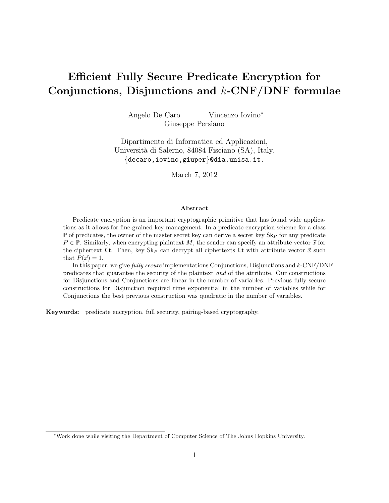# Efficient Fully Secure Predicate Encryption for Conjunctions, Disjunctions and  $k$ -CNF/DNF formulae

Angelo De Caro Vincenzo Iovino<sup>∗</sup> Giuseppe Persiano

Dipartimento di Informatica ed Applicazioni, Universit`a di Salerno, 84084 Fisciano (SA), Italy. {decaro,iovino,giuper}@dia.unisa.it.

March 7, 2012

#### Abstract

Predicate encryption is an important cryptographic primitive that has found wide applications as it allows for fine-grained key management. In a predicate encryption scheme for a class  $\mathbb P$  of predicates, the owner of the master secret key can derive a secret key  $\mathsf{Sk}_P$  for any predicate  $P \in \mathbb{P}$ . Similarly, when encrypting plaintext M, the sender can specify an attribute vector  $\vec{x}$  for the ciphertext Ct. Then, key  $\mathsf{Sk}_P$  can decrypt all ciphertexts Ct with attribute vector  $\vec{x}$  such that  $P(\vec{x}) = 1$ .

In this paper, we give *fully secure* implementations Conjunctions, Disjunctions and  $k$ -CNF/DNF predicates that guarantee the security of the plaintext and of the attribute. Our constructions for Disjunctions and Conjunctions are linear in the number of variables. Previous fully secure constructions for Disjunction required time exponential in the number of variables while for Conjunctions the best previous construction was quadratic in the number of variables.

Keywords: predicate encryption, full security, pairing-based cryptography.

<sup>∗</sup>Work done while visiting the Department of Computer Science of The Johns Hopkins University.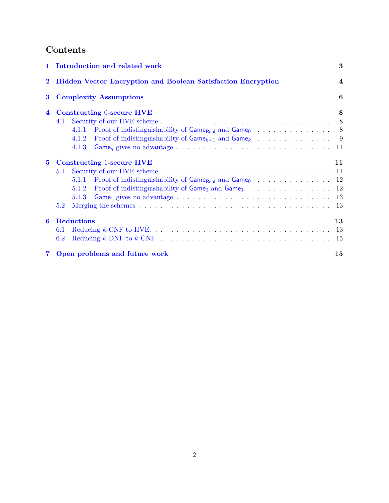## Contents

| $\mathbf{1}$   | Introduction and related work                                                                                                                    | 3              |
|----------------|--------------------------------------------------------------------------------------------------------------------------------------------------|----------------|
| $\bf{2}$       | <b>Hidden Vector Encryption and Boolean Satisfaction Encryption</b>                                                                              | $\overline{4}$ |
| $\bf{3}$       | <b>Complexity Assumptions</b>                                                                                                                    | 6              |
| $\overline{4}$ | <b>Constructing 0-secure HVE</b><br>4.1<br>4.1.1 Proof of indistinguishability of Game <sub>Real</sub> and Game <sub>0</sub> 8<br>4.1.2<br>4.1.3 | 8              |
| $5^{\circ}$    | <b>Constructing 1-secure HVE</b><br>5.1<br>5.1.1<br>5.1.2<br>5.1.3<br>5.2                                                                        | 11             |
| 6              | <b>Reductions</b><br>6.1<br>6.2                                                                                                                  | 13<br>-15      |
|                | 7 Open problems and future work                                                                                                                  | 15             |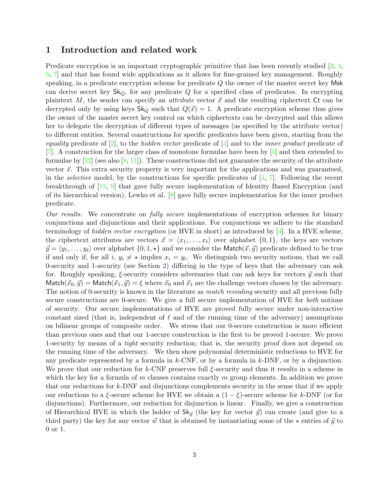## <span id="page-2-0"></span>1 Introduction and related work

Predicate encryption is an important cryptographic primitive that has been recently studied  $\left[2, 4\right]$  $\left[2, 4\right]$  $\left[2, 4\right]$ [5,](#page-15-1) [7\]](#page-15-2) and that has found wide applications as it allows for fine-grained key management. Roughly speaking, in a predicate encryption scheme for predicate  $Q$  the owner of the master secret key Msk can derive secret key  $\mathsf{Sk}_Q$ , for any predicate Q for a specified class of predicates. In encrypting plaintext M, the sender can specify an *attribute* vector  $\vec{x}$  and the resulting ciphertext Ct can be decrypted only by using keys  $\mathsf{Sk}_Q$  such that  $Q(\vec{x}) = 1$ . A predicate encryption scheme thus gives the owner of the master secret key control on which ciphertexts can be decrypted and this allows her to delegate the decryption of different types of messages (as specified by the attribute vector) to different entities. Several constructions for specific predicates have been given, starting from the equality predicate of  $[2]$ , to the hidden vector predicate of  $[4]$  and to the inner product predicate of [\[7\]](#page-15-2). A construction for the larger class of monotone formulae have been by [\[5\]](#page-15-1) and then extended to formulae by  $[12]$  (see also  $[8, 11]$  $[8, 11]$  $[8, 11]$ ). These constructions did not guarantee the security of the attribute vector  $\vec{x}$ . This extra security property is very important for the applications and was guaranteed, in the *selective* model, by the constructions for specific predicates of  $[4, 7]$  $[4, 7]$  $[4, 7]$ . Following the recent breakthrough of [\[15,](#page-15-6) [9\]](#page-15-7) that gave fully secure implementation of Identity Based Encryption (and of its hierarchical version), Lewko et al. [\[8\]](#page-15-4) gave fully secure implementation for the inner product predicate.

Our results. We concentrate on fully secure implementations of encryption schemes for binary conjunctions and disjunctions and their applications. For conjunctions we adhere to the standard terminology of hidden vector encryption (or HVE in short) as introduced by  $[4]$ . In a HVE scheme, the ciphertext attributes are vectors  $\vec{x} = \langle x_1, \ldots, x_\ell \rangle$  over alphabet  $\{0, 1\}$ , the keys are vectors  $\vec{y} = \langle y_1, \ldots, y_\ell \rangle$  over alphabet  $\{0, 1, \star\}$  and we consider the Match $(\vec{x}, \vec{y})$  predicate defined to be true if and only if, for all  $i, y_i \neq \star$  implies  $x_i = y_i$ . We distinguish two security notions, that we call 0-security and 1-security (see Section [2\)](#page-3-0) differing in the type of keys that the adversary can ask for. Roughly speaking,  $\xi$ -security considers adversaries that can ask keys for vectors  $\vec{y}$  such that Match $({\vec{x}}_0, {\vec{y}}) =$  Match $({\vec{x}}_1, {\vec{y}}) = \xi$  where  ${\vec{x}}_0$  and  ${\vec{x}}_1$  are the challenge vectors chosen by the adversary. The notion of 0-security is known in the literature as *match revealing* security and all previous fully secure constructions are 0-secure. We give a full secure implementation of HVE for both notions of security. Our secure implementations of HVE are proved fully secure under non-interactive constant sized (that is, independent of  $\ell$  and of the running time of the adversary) assumptions on bilinear groups of composite order. We stress that our 0-secure construction is more efficient than previous ones and that our 1-secure construction is the first to be proved 1-secure. We prove 1-security by means of a tight security reduction; that is, the security proof does not depend on the running time of the adversary. We then show polynomial deterministic reductions to HVE for any predicate represented by a formula in  $k$ -CNF, or by a formula in  $k$ -DNF, or by a disjunction. We prove that our reduction for k-CNF preserves full  $\xi$ -security and thus it results in a scheme in which the key for a formula of  $m$  clauses contains exactly  $m$  group elements. In addition we prove that our reductions for k-DNF and disjunctions complements security in the sense that if we apply our reductions to a  $\xi$ -secure scheme for HVE we obtain a  $(1 - \xi)$ -secure scheme for k-DNF (or for disjunctions). Furthermore, our reduction for disjunction is linear. Finally, we give a construction of Hierarchical HVE in which the holder of  $\mathsf{Sk}_{\vec{y}}$  (the key for vector  $\vec{y}$ ) can create (and give to a third party) the key for any vector  $\vec{w}$  that is obtained by instantiating some of the  $\star$  entries of  $\vec{y}$  to 0 or 1.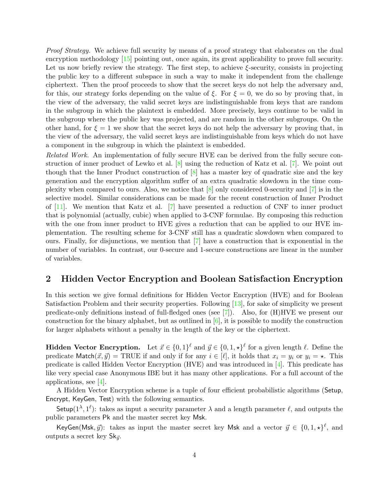Proof Strategy. We achieve full security by means of a proof strategy that elaborates on the dual encryption methodology [\[15\]](#page-15-6) pointing out, once again, its great applicability to prove full security. Let us now briefly review the strategy. The first step, to achieve  $\xi$ -security, consists in projecting the public key to a different subspace in such a way to make it independent from the challenge ciphertext. Then the proof proceeds to show that the secret keys do not help the adversary and, for this, our strategy forks depending on the value of  $\xi$ . For  $\xi = 0$ , we do so by proving that, in the view of the adversary, the valid secret keys are indistinguishable from keys that are random in the subgroup in which the plaintext is embedded. More precisely, keys continue to be valid in the subgroup where the public key was projected, and are random in the other subgroups. On the other hand, for  $\xi = 1$  we show that the secret keys do not help the adversary by proving that, in the view of the adversary, the valid secret keys are indistinguishable from keys which do not have a component in the subgroup in which the plaintext is embedded.

Related Work. An implementation of fully secure HVE can be derived from the fully secure construction of inner product of Lewko et al. [\[8\]](#page-15-4) using the reduction of Katz et al. [\[7\]](#page-15-2). We point out though that the Inner Product construction of  $[8]$  has a master key of quadratic size and the key generation and the encryption algorithm suffer of an extra quadratic slowdown in the time complexity when compared to ours. Also, we notice that [\[8\]](#page-15-4) only considered 0-security and [\[7\]](#page-15-2) is in the selective model. Similar considerations can be made for the recent construction of Inner Product of [\[11\]](#page-15-5). We mention that Katz et al. [\[7\]](#page-15-2) have presented a reduction of CNF to inner product that is polynomial (actually, cubic) when applied to 3-CNF formulae. By composing this reduction with the one from inner product to HVE gives a reduction that can be applied to our HVE implementation. The resulting scheme for 3-CNF still has a quadratic slowdown when compared to ours. Finally, for disjunctions, we mention that  $[7]$  have a construction that is exponential in the number of variables. In contrast, our 0-secure and 1-secure constructions are linear in the number of variables.

## <span id="page-3-0"></span>2 Hidden Vector Encryption and Boolean Satisfaction Encryption

In this section we give formal definitions for Hidden Vector Encryption (HVE) and for Boolean Satisfaction Problem and their security properties. Following [\[13\]](#page-15-8), for sake of simplicity we present predicate-only definitions instead of full-fledged ones (see [\[7\]](#page-15-2)). Also, for (H)HVE we present our construction for the binary alphabet, but as outlined in  $[6]$ , it is possible to modify the construction for larger alphabets without a penalty in the length of the key or the ciphertext.

**Hidden Vector Encryption.** Let  $\vec{x} \in \{0,1\}^{\ell}$  and  $\vec{y} \in \{0,1,\star\}^{\ell}$  for a given length  $\ell$ . Define the predicate Match $(\vec{x}, \vec{y})$  = TRUE if and only if for any  $i \in [\ell]$ , it holds that  $x_i = y_i$  or  $y_i = \star$ . This predicate is called Hidden Vector Encryption (HVE) and was introduced in [\[4\]](#page-15-0). This predicate has like very special case Anonymous IBE but it has many other applications. For a full account of the applications, see  $|4|$ .

A Hidden Vector Encryption scheme is a tuple of four efficient probabilistic algorithms (Setup, Encrypt, KeyGen, Test) with the following semantics.

Setup( $1^{\lambda}$ ,  $1^{\ell}$ ): takes as input a security parameter  $\lambda$  and a length parameter  $\ell$ , and outputs the public parameters Pk and the master secret key Msk.

KeyGen(Msk,  $\vec{y}$ ): takes as input the master secret key Msk and a vector  $\vec{y} \in \{0, 1, \star\}^{\ell}$ , and outputs a secret key  $\mathsf{Sk}_{\vec{u}}$ .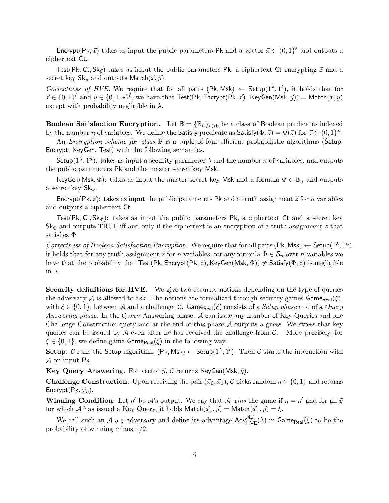Encrypt(Pk,  $\vec{x}$ ) takes as input the public parameters Pk and a vector  $\vec{x} \in \{0,1\}^{\ell}$  and outputs a ciphertext Ct.

Test(Pk, Ct,  $\text{Sk}_{\vec{y}}$ ) takes as input the public parameters Pk, a ciphertext Ct encrypting  $\vec{x}$  and a secret key  $\mathsf{Sk}_{\vec{u}}$  and outputs Match $(\vec{x}, \vec{y})$ .

Correctness of HVE. We require that for all pairs  $(Pk, Msk) \leftarrow$  Setup $(1^{\lambda}, 1^{\ell})$ , it holds that for  $\vec{x} \in \{0,1\}^{\ell}$  and  $\vec{y} \in \{0,1,\star\}^{\ell}$ , we have that Test(Pk, Encrypt(Pk,  $\vec{x}$ ), KeyGen(Msk,  $\vec{y}$ )) = Match( $\vec{x}, \vec{y}$ ) except with probability negligible in  $\lambda$ .

**Boolean Satisfaction Encryption.** Let  $\mathbb{B} = {\mathbb{B}_n}_{n>0}$  be a class of Boolean predicates indexed by the number n of variables. We define the Satisfy predicate as Satisfy $(\Phi, \vec{z}) = \Phi(\vec{z})$  for  $\vec{z} \in \{0, 1\}^n$ .

An *Encryption scheme for class*  $\mathbb B$  is a tuple of four efficient probabilistic algorithms (Setup, Encrypt, KeyGen, Test) with the following semantics.

Setup( $1^{\lambda}, 1^{n}$ ): takes as input a security parameter  $\lambda$  and the number n of variables, and outputs the public parameters Pk and the master secret key Msk.

KeyGen(Msk,  $\Phi$ ): takes as input the master secret key Msk and a formula  $\Phi \in \mathbb{B}_n$  and outputs a secret key  $\mathsf{Sk}_{\Phi}$ .

Encrypt(Pk,  $\vec{z}$ ): takes as input the public parameters Pk and a truth assignment  $\vec{z}$  for n variables and outputs a ciphertext Ct.

Test(Pk, Ct, Sk $_{\Phi}$ ): takes as input the public parameters Pk, a ciphertext Ct and a secret key  $\mathsf{Sk}_{\Phi}$  and outputs TRUE iff and only if the ciphertext is an encryption of a truth assignment  $\vec{z}$  that satisfies Φ.

Correctness of Boolean Satisfaction Encryption. We require that for all pairs  $(\mathsf{Pk}, \mathsf{Msk}) \leftarrow \mathsf{Setup}(1^{\lambda}, 1^n)$ , it holds that for any truth assignment  $\vec{z}$  for n variables, for any formula  $\Phi \in \mathcal{B}_n$  over n variables we have that the probability that Test(Pk, Encrypt(Pk,  $\vec{z}$ ), KeyGen(Msk,  $\Phi$ ))  $\neq$  Satisfy( $\Phi$ ,  $\vec{z}$ ) is negligible in  $\lambda$ .

Security definitions for HVE. We give two security notions depending on the type of queries the adversary A is allowed to ask. The notions are formalized through security games  $\mathsf{Game}_{\mathsf{Real}}(\xi)$ , with  $\xi \in \{0,1\}$ , between A and a challenger C. Game<sub>Real</sub>( $\xi$ ) consists of a *Setup phase* and of a *Query* Answering phase. In the Query Answering phase, A can issue any number of Key Queries and one Challenge Construction query and at the end of this phase A outputs a guess. We stress that key queries can be issued by  $\mathcal A$  even after he has received the challenge from  $\mathcal C$ . More precisely, for  $\xi \in \{0,1\}$ , we define game Game<sub>Real</sub>( $\xi$ ) in the following way.

Setup. C runs the Setup algorithm,  $(\mathsf{Pk}, \mathsf{Msk}) \leftarrow \mathsf{Setup}(1^{\lambda}, 1^{\ell})$ . Then C starts the interaction with A on input Pk.

Key Query Answering. For vector  $\vec{y}$ , C returns KeyGen(Msk,  $\vec{y}$ ).

**Challenge Construction.** Upon receiving the pair  $(\vec{x}_0, \vec{x}_1)$ , C picks random  $\eta \in \{0, 1\}$  and returns Encrypt(Pk,  $\vec{x}_n$ ).

**Winning Condition.** Let  $\eta'$  be A's output. We say that A wins the game if  $\eta = \eta'$  and for all  $\bar{y}$ for which A has issued a Key Query, it holds  $\mathsf{Match}(\vec{x}_0, \vec{y}) = \mathsf{Match}(\vec{x}_1, \vec{y}) = \xi$ .

We call such an A a  $\xi$ -adversary and define its advantage  $Adv_{HVE}^{\mathcal{A},\xi}(\lambda)$  in  $Game_{Real}(\xi)$  to be the probability of winning minus 1/2.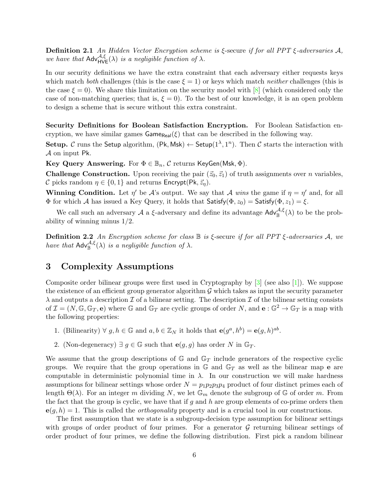**Definition 2.1** An Hidden Vector Encryption scheme is  $\xi$ -secure if for all PPT  $\xi$ -adversaries A, we have that  $\mathsf{Adv}_{\mathsf{HVE}}^{\mathcal{A},\xi}(\lambda)$  is a negligible function of  $\lambda$ .

In our security definitions we have the extra constraint that each adversary either requests keys which match both challenges (this is the case  $\xi = 1$ ) or keys which match *neither* challenges (this is the case  $\xi = 0$ ). We share this limitation on the security model with [\[8\]](#page-15-4) (which considered only the case of non-matching queries; that is,  $\xi = 0$ . To the best of our knowledge, it is an open problem to design a scheme that is secure without this extra constraint.

Security Definitions for Boolean Satisfaction Encryption. For Boolean Satisfaction encryption, we have similar games  $\mathsf{Game}_{\mathsf{Real}}(\xi)$  that can be described in the following way.

Setup. C runs the Setup algorithm,  $(\mathsf{Pk}, \mathsf{Msk}) \leftarrow \mathsf{Setup}(1^{\lambda}, 1^n)$ . Then C starts the interaction with A on input Pk.

Key Query Answering. For  $\Phi \in \mathbb{B}_n$ , C returns KeyGen(Msk,  $\Phi$ ).

**Challenge Construction.** Upon receiving the pair  $(\vec{z}_0, \vec{z}_1)$  of truth assignments over *n* variables, C picks random  $\eta \in \{0, 1\}$  and returns Encrypt(Pk,  $\vec{z}_n$ ).

**Winning Condition.** Let  $\eta'$  be A's output. We say that A wins the game if  $\eta = \eta'$  and, for all Φ for which A has issued a Key Query, it holds that  $Satisfy$  $(Φ, z<sub>0</sub>) = Satisfy$  $(Φ, z<sub>1</sub>) = ξ$ .

We call such an adversary A a  $\xi$ -adversary and define its advantage  $\mathsf{Adv}_{\mathbb{B}}^{\mathcal{A},\xi}(\lambda)$  to be the probability of winning minus 1/2.

**Definition 2.2** An Encryption scheme for class  $\mathbb B$  is ξ-secure if for all PPT ξ-adversaries A, we have that  $\mathsf{Adv}_{\mathbb{B}}^{\mathcal{A},\xi}(\lambda)$  is a negligible function of  $\lambda$ .

## <span id="page-5-0"></span>3 Complexity Assumptions

Composite order bilinear groups were first used in Cryptography by [\[3\]](#page-14-3) (see also [\[1\]](#page-14-4)). We suppose the existence of an efficient group generator algorithm  $\mathcal G$  which takes as input the security parameter  $\lambda$  and outputs a description  $\mathcal I$  of a bilinear setting. The description  $\mathcal I$  of the bilinear setting consists of  $\mathcal{I} = (N, \mathbb{G}, \mathbb{G}_T, \mathbf{e})$  where  $\mathbb{G}$  and  $\mathbb{G}_T$  are cyclic groups of order N, and  $\mathbf{e}: \mathbb{G}^2 \to \mathbb{G}_T$  is a map with the following properties:

- 1. (Bilinearity)  $\forall g, h \in \mathbb{G}$  and  $a, b \in \mathbb{Z}_N$  it holds that  $\mathbf{e}(g^a, h^b) = \mathbf{e}(g, h)^{ab}$ .
- 2. (Non-degeneracy)  $\exists g \in \mathbb{G}$  such that  $e(g, g)$  has order N in  $\mathbb{G}_T$ .

We assume that the group descriptions of  $\mathbb{G}$  and  $\mathbb{G}_T$  include generators of the respective cyclic groups. We require that the group operations in  $\mathbb{G}$  and  $\mathbb{G}_T$  as well as the bilinear map **e** are computable in deterministic polynomial time in  $\lambda$ . In our construction we will make hardness assumptions for bilinear settings whose order  $N = p_1 p_2 p_3 p_4$  product of four distinct primes each of length  $\Theta(\lambda)$ . For an integer m dividing N, we let  $\mathbb{G}_m$  denote the subgroup of G of order m. From the fact that the group is cyclic, we have that if g and h are group elements of co-prime orders then  $e(q, h) = 1$ . This is called the *orthogonality* property and is a crucial tool in our constructions.

The first assumption that we state is a subgroup-decision type assumption for bilinear settings with groups of order product of four primes. For a generator  $\mathcal G$  returning bilinear settings of order product of four primes, we define the following distribution. First pick a random bilinear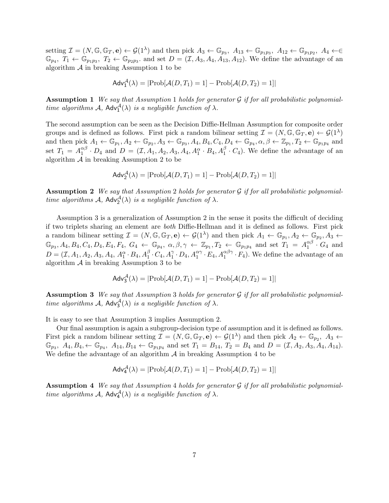setting  $\mathcal{I} = (N, \mathbb{G}, \mathbb{G}_T, \mathbf{e}) \leftarrow \mathcal{G}(1^{\lambda})$  and then pick  $A_3 \leftarrow \mathbb{G}_{p_3}, A_{13} \leftarrow \mathbb{G}_{p_1p_3}, A_{12} \leftarrow \mathbb{G}_{p_1p_2}, A_4 \leftarrow \in$  $\mathbb{G}_{p_4}, T_1 \leftarrow \mathbb{G}_{p_1p_3}, T_2 \leftarrow \mathbb{G}_{p_2p_3}$  and set  $D = (\mathcal{I}, A_3, A_4, A_{13}, A_{12})$ . We define the advantage of an algorithm  $A$  in breaking Assumption 1 to be

$$
Adv_1^{\mathcal{A}}(\lambda) = |\text{Prob}[\mathcal{A}(D, T_1) = 1] - \text{Prob}[\mathcal{A}(D, T_2) = 1]|
$$

**Assumption 1** We say that Assumption 1 holds for generator  $\mathcal G$  if for all probabilistic polynomialtime algorithms  $A$ ,  $Adv_1^{\mathcal{A}}(\lambda)$  is a negligible function of  $\lambda$ .

The second assumption can be seen as the Decision Diffie-Hellman Assumption for composite order groups and is defined as follows. First pick a random bilinear setting  $\mathcal{I} = (N, \mathbb{G}, \mathbb{G}_T, \mathbf{e}) \leftarrow \mathcal{G}(1^{\lambda})$ and then pick  $A_1 \leftarrow \mathbb{G}_{p_1}, A_2 \leftarrow \mathbb{G}_{p_2}, A_3 \leftarrow \mathbb{G}_{p_3}, A_4, B_4, C_4, D_4 \leftarrow \mathbb{G}_{p_4}, \alpha, \beta \leftarrow \mathbb{Z}_{p_1}, T_2 \leftarrow \mathbb{G}_{p_1p_4}$  and set  $T_1 = A_1^{\alpha\beta}$  $_1^{\alpha\beta}$  ·  $D_4$  and  $D = (\mathcal{I}, A_1, A_2, A_3, A_4, A_1^{\alpha} \cdot B_4, A_1^{\beta} \cdot C_4)$ . We define the advantage of an algorithm  $A$  in breaking Assumption 2 to be

$$
Adv_2^{\mathcal{A}}(\lambda) = |Prob[\mathcal{A}(D, T_1) = 1] - Prob[\mathcal{A}(D, T_2) = 1]|
$$

**Assumption 2** We say that Assumption 2 holds for generator  $\mathcal G$  if for all probabilistic polynomialtime algorithms  $A$ ,  $Adv_2^{\mathcal{A}}(\lambda)$  is a negligible function of  $\lambda$ .

Assumption 3 is a generalization of Assumption 2 in the sense it posits the difficult of deciding if two triplets sharing an element are both Diffie-Hellman and it is defined as follows. First pick a random bilinear setting  $\mathcal{I} = (N, \mathbb{G}, \mathbb{G}_T, \mathbf{e}) \leftarrow \mathcal{G}(1^{\lambda})$  and then pick  $A_1 \leftarrow \mathbb{G}_{p_1}, A_2 \leftarrow \mathbb{G}_{p_2}, A_3 \leftarrow \mathbb{G}_{p_3}$  $\mathbb{G}_{p_3}, A_4, B_4, C_4, D_4, E_4, F_4, G_4 \leftarrow \mathbb{G}_{p_4}, \ \alpha, \beta, \gamma \leftarrow \mathbb{Z}_{p_1}, T_2 \leftarrow \mathbb{G}_{p_1p_4} \ \text{and set} \ T_1 = A_1^{\alpha\beta}$  $_1^{\alpha\rho} \cdot G_4$  and  $D = (\mathcal{I}, A_1, A_2, A_3, A_4, A_1^{\alpha} \cdot B_4, A_1^{\beta} \cdot C_4, A_1^{\gamma} \cdot D_4, A_1^{\alpha\gamma} \cdot E_4, A_1^{\alpha\beta\gamma} \cdot F_4)$ . We define the advantage of an algorithm  $A$  in breaking Assumption 3 to be

$$
Adv_3^{\mathcal{A}}(\lambda) = |Prob[\mathcal{A}(D, T_1) = 1] - Prob[\mathcal{A}(D, T_2) = 1]|
$$

**Assumption 3** We say that Assumption 3 holds for generator  $G$  if for all probabilistic polynomialtime algorithms  $A$ ,  $Adv_3^{\mathcal{A}}(\lambda)$  is a negligible function of  $\lambda$ .

It is easy to see that Assumption 3 implies Assumption 2.

Our final assumption is again a subgroup-decision type of assumption and it is defined as follows. First pick a random bilinear setting  $\mathcal{I} = (N, \mathbb{G}, \mathbb{G}_T, \mathbf{e}) \leftarrow \mathcal{G}(1^{\lambda})$  and then pick  $A_2 \leftarrow \mathbb{G}_{p_2}, A_3 \leftarrow \mathbb{G}_{p_3}$  $\mathbb{G}_{p_3}$ ,  $A_4, B_4, \leftarrow \mathbb{G}_{p_4}$ ,  $A_{14}, B_{14} \leftarrow \mathbb{G}_{p_1p_4}$  and set  $T_1 = B_{14}$ ,  $T_2 = B_4$  and  $D = (\mathcal{I}, A_2, A_3, A_4, A_{14})$ . We define the advantage of an algorithm  $\mathcal A$  in breaking Assumption 4 to be

$$
Adv_4^{\mathcal{A}}(\lambda) = |\text{Prob}[\mathcal{A}(D, T_1) = 1] - \text{Prob}[\mathcal{A}(D, T_2) = 1]|
$$

**Assumption 4** We say that Assumption 4 holds for generator  $G$  if for all probabilistic polynomialtime algorithms  $A$ ,  $Adv_{4}^{\mathcal{A}}(\lambda)$  is a negligible function of  $\lambda$ .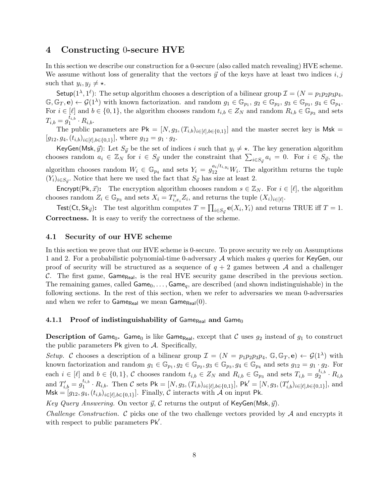## <span id="page-7-0"></span>4 Constructing 0-secure HVE

In this section we describe our construction for a 0-secure (also called match revealing) HVE scheme. We assume without loss of generality that the vectors  $\vec{y}$  of the keys have at least two indices i, j such that  $y_i, y_j \neq \star$ .

Setup( $1^{\lambda}$ ,  $1^{\ell}$ ): The setup algorithm chooses a description of a bilinear group  $\mathcal{I} = (N = p_1p_2p_3p_4,$  $\mathbb{G}, \mathbb{G}_T, \mathbf{e}) \leftarrow \mathcal{G}(1^{\lambda})$  with known factorization. and random  $g_1 \in \mathbb{G}_{p_1}, g_2 \in \mathbb{G}_{p_2}, g_3 \in \mathbb{G}_{p_3}, g_4 \in \mathbb{G}_{p_4}$ . For  $i \in [\ell]$  and  $b \in \{0,1\}$ , the algorithm chooses random  $t_{i,b} \in Z_N$  and random  $R_{i,b} \in \mathbb{G}_{p_3}$  and sets  $T_{i,b}=g_1^{\overline{t}_{i,b}}$  $i_1^{i,b} \cdot R_{i,b}.$ 

The public parameters are  $\mathsf{Pk} = [N, g_3, (T_{i,b})_{i \in [\ell], b \in \{0,1\}}]$  and the master secret key is Msk =  $[g_{12}, g_4, (t_{i,b})_{i \in [\ell], b \in \{0,1\}}]$ , where  $g_{12} = g_1 \cdot g_2$ .

KeyGen(Msk,  $\vec{y}$ ): Let  $S_{\vec{y}}$  be the set of indices i such that  $y_i \neq \star$ . The key generation algorithm chooses random  $a_i \in \mathbb{Z}_N$  for  $i \in S_{\vec{y}}$  under the constraint that  $\sum_{i \in S_{\vec{y}}} a_i = 0$ . For  $i \in S_{\vec{y}}$ , the algorithm chooses random  $W_i \in \mathbb{G}_{p_4}$  and sets  $Y_i = g_{12}^{a_i/t_{i,y_i}} W_i$ . The algorithm returns the tuple  $(Y_i)_{i \in S_{\vec{y}}}$ . Notice that here we used the fact that  $S_{\vec{y}}$  has size at least 2.

Encrypt(Pk,  $\vec{x}$ ): The encryption algorithm chooses random  $s \in \mathbb{Z}_N$ . For  $i \in [\ell]$ , the algorithm chooses random  $Z_i \in \mathbb{G}_{p_3}$  and sets  $X_i = T^s_{i,x_i} Z_i$ , and returns the tuple  $(X_i)_{i \in [\ell]}$ .

Test(Ct, Sk<sub>ij</sub>): The test algorithm computes  $T = \prod_{i \in S_{\vec{y}}} e(X_i, Y_i)$  and returns TRUE iff  $T = 1$ . Correctness. It is easy to verify the correctness of the scheme.

#### <span id="page-7-1"></span>4.1 Security of our HVE scheme

In this section we prove that our HVE scheme is 0-secure. To prove security we rely on Assumptions 1 and 2. For a probabilistic polynomial-time 0-adversary  $A$  which makes  $q$  queries for KeyGen, our proof of security will be structured as a sequence of  $q + 2$  games between A and a challenger C. The first game, Game<sub>Real</sub>, is the real HVE security game described in the previous section. The remaining games, called  $Game_0, \ldots$ ,  $Game_q$ , are described (and shown indistinguishable) in the following sections. In the rest of this section, when we refer to adversaries we mean 0-adversaries and when we refer to  $Gamma_{Real}$  we mean  $Game_{Real}(0)$ .

#### <span id="page-7-2"></span>4.1.1 Proof of indistinguishability of Game $_{\text{Real}}$  and Game<sub>0</sub>

**Description of Game<sub>0</sub>.** Game<sub>0</sub> is like Game<sub>Real</sub>, except that C uses  $g_2$  instead of  $g_1$  to construct the public parameters  $\mathsf{Pk}$  given to  $\mathcal{A}$ . Specifically,

Setup. C chooses a description of a bilinear group  $\mathcal{I} = (N = p_1p_2p_3p_4, \mathbb{G}, \mathbb{G}_T, e) \leftarrow \mathcal{G}(1^{\lambda})$  with known factorization and random  $g_1 \in \mathbb{G}_{p_1}, g_2 \in \mathbb{G}_{p_2}, g_3 \in \mathbb{G}_{p_3}, g_4 \in \mathbb{G}_{p_4}$  and sets  $g_{12} = g_1 \cdot g_2$ . For each  $i \in [\ell]$  and  $b \in \{0,1\}$ , C chooses random  $t_{i,b} \in Z_N$  and  $R_{i,b} \in \mathbb{G}_{p_3}$  and sets  $T_{i,b} = g_2^{t_{i,b}}$  $\stackrel{\iota_{i,b}}{2}\cdot R_{i,b}$ and  $T'_{i,b} = g_1^{t_{i,b}}$  $t_{i,b}^t \cdot R_{i,b}$ . Then C sets Pk = [N,  $g_3$ ,  $(T_{i,b})_{i \in [\ell], b \in \{0,1\}}$ ], Pk' = [N,  $g_3$ ,  $(T'_{i,b})_{i \in [\ell], b \in \{0,1\}}$ ], and  $M$ sk = [ $g_{12}, g_4, (t_{i,b})_{i \in [\ell], b \in \{0,1\}}$ ]. Finally, C interacts with A on input Pk.

Key Query Answering. On vector  $\vec{y}$ , C returns the output of KeyGen(Msk,  $\vec{y}$ ).

<span id="page-7-3"></span>*Challenge Construction.*  $\mathcal C$  picks one of the two challenge vectors provided by  $\mathcal A$  and encrypts it with respect to public parameters Pk'.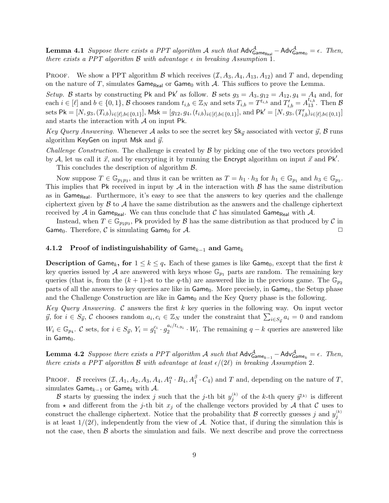**Lemma 4.1** Suppose there exists a PPT algorithm A such that  $Adv^A_{Game_{Real}} - Adv^A_{Game_0} = \epsilon$ . Then, there exists a PPT algorithm  $\beta$  with advantage  $\epsilon$  in breaking Assumption 1.

**PROOF.** We show a PPT algorithm B which receives  $(\mathcal{I}, A_3, A_4, A_{13}, A_{12})$  and T and, depending on the nature of T, simulates  $\mathsf{Game}_{\mathsf{Real}}$  or  $\mathsf{Game}_{0}$  with A. This suffices to prove the Lemma.

Setup. B starts by constructing Pk and Pk' as follow. B sets  $g_3 = A_3, g_{12} = A_{12}, g_4 = A_4$  and, for each  $i \in [\ell]$  and  $b \in \{0,1\}$ , B chooses random  $t_{i,b} \in \mathbb{Z}_N$  and sets  $T_{i,b} = T^{t_{i,b}}$  and  $T'_{i,b} = A^{t_{i,b}}_{13}$ . Then B sets  $\mathsf{Pk} = [N, g_3, (T_{i,b})_{i \in [\ell], b \in \{0,1\}}]$ ,  $\mathsf{Msk} = [g_{12}, g_4, (t_{i,b})_{i \in [\ell], b \in \{0,1\}}]$ , and  $\mathsf{Pk}' = [N, g_3, (T'_{i,b})_{i \in [\ell], b \in \{0,1\}}]$ and starts the interaction with  $\mathcal A$  on input Pk.

Key Query Answering. Whenever A asks to see the secret key  $\mathsf{Sk}_{\vec{v}}$  associated with vector  $\vec{y}$ , B runs algorithm KeyGen on input Msk and  $\vec{y}$ .

*Challenge Construction.* The challenge is created by  $\beta$  by picking one of the two vectors provided by A, let us call it  $\vec{x}$ , and by encrypting it by running the Encrypt algorithm on input  $\vec{x}$  and Pk'.

This concludes the description of algorithm  $\beta$ .

Now suppose  $T \in \mathbb{G}_{p_1p_3}$ , and thus it can be written as  $T = h_1 \cdot h_3$  for  $h_1 \in \mathbb{G}_{p_1}$  and  $h_3 \in \mathbb{G}_{p_3}$ . This implies that Pk received in input by  $A$  in the interaction with  $B$  has the same distribution as in  $Game<sub>Real</sub>$ . Furthermore, it's easy to see that the answers to key queries and the challenge ciphertext given by  $\beta$  to  $\lambda$  have the same distribution as the answers and the challenge ciphertext received by A in Game<sub>Real</sub>. We can thus conclude that C has simulated Game<sub>Real</sub> with A.

Instead, when  $T \in \mathbb{G}_{p_2p_3}$ , Pk provided by B has the same distribution as that produced by C in Game<sub>0</sub>. Therefore, C is simulating Game<sub>0</sub> for A.  $\Box$ 

#### <span id="page-8-0"></span>4.1.2 Proof of indistinguishability of Game $_{k-1}$  and Game $_k$

**Description of Game<sub>k</sub>, for**  $1 \leq k \leq q$ . Each of these games is like Game<sub>0</sub>, except that the first k key queries issued by A are answered with keys whose  $\mathbb{G}_{p_1}$  parts are random. The remaining key queries (that is, from the  $(k + 1)$ -st to the q-th) are answered like in the previous game. The  $\mathbb{G}_{p_2}$ parts of all the answers to key queries are like in  $Game_0$ . More precisely, in  $Game_k$ , the Setup phase and the Challenge Construction are like in  $Game_0$  and the Key Query phase is the following.

Key Query Answering. C answers the first k key queries in the following way. On input vector  $\vec{y}$ , for  $i \in S_{\vec{y}}$ ,  $\mathcal C$  chooses random  $a_i, c_i \in \mathbb Z_N$  under the constraint that  $\sum_{i \in S_{\vec{y}}} a_i = 0$  and random  $W_i \in \mathbb{G}_{p_4}$ . C sets, for  $i \in S_{\vec{y}}, Y_i = g_1^{c_i} \cdot g_2^{a_i/t_{i,y_i}} \cdot W_i$ . The remaining  $q-k$  queries are answered like in  $Game_0$ .

**Lemma 4.2** Suppose there exists a PPT algorithm A such that  $Adv^{\mathcal{A}}_{Game_{k-1}} - Adv^{\mathcal{A}}_{Game_k} = \epsilon$ . Then, there exists a PPT algorithm B with advantage at least  $\epsilon/(2\ell)$  in breaking Assumption 2.

PROOF. B receives  $(\mathcal{I}, A_1, A_2, A_3, A_4, A_1^{\alpha} \cdot B_4, A_1^{\beta} \cdot C_4)$  and T and, depending on the nature of T, simulates Game $_{k-1}$  or Game<sub>k</sub> with A.

B starts by guessing the index j such that the j-th bit  $y_j^{(k)}$  of the k-th query  $\vec{y}^{(k)}$  is different from  $\star$  and different from the j-th bit  $x_j$  of the challenge vectors provided by A that C uses to construct the challenge ciphertext. Notice that the probability that  $\mathcal B$  correctly guesses j and  $y_j^{(k)}$ is at least  $1/(2\ell)$ , independently from the view of A. Notice that, if during the simulation this is not the case, then  $\beta$  aborts the simulation and fails. We next describe and prove the correctness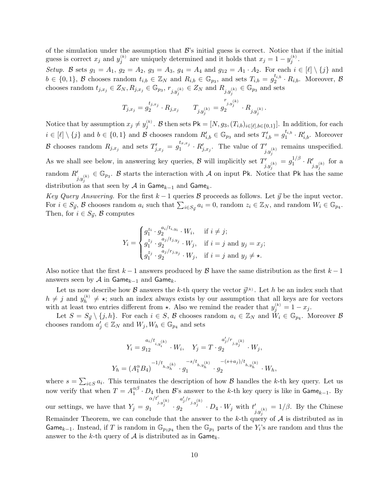of the simulation under the assumption that  $\mathcal{B}$ 's initial guess is correct. Notice that if the initial guess is correct  $x_j$  and  $y_j^{(k)}$  are uniquely determined and it holds that  $x_j = 1 - y_j^{(k)}$ . Setup. B sets  $g_1 = A_1$ ,  $g_2 = A_2$ ,  $g_3 = A_3$ ,  $g_4 = A_4$  and  $g_{12} = A_1 \cdot A_2$ . For each  $i \in [\ell] \setminus \{j\}$  and

 $b \in \{0,1\}$ , B chooses random  $t_{i,b} \in \mathbb{Z}_N$  and  $R_{i,b} \in \mathbb{G}_{p_3}$ , and sets  $T_{i,b} = g_2^{t_{i,b}}$  $e_{i,b}^{i_{i,b}} \cdot R_{i,b}$ . Moreover,  $\beta$ chooses random  $t_{j,x_j} \in Z_N$ ,  $R_{j,x_j} \in \mathbb{G}_{p_3}$ ,  $r_{j,y_j^{(k)}} \in Z_N$  and  $R_{j,y_j^{(k)}} \in \mathbb{G}_{p_3}$  and sets

$$
T_{j,x_j} = g_2^{t_{j,x_j}} \cdot R_{j,x_j} \qquad T_{j,y_j^{(k)}} = g_2^{r_{j,y_j^{(k)}}} \cdot R_{j,y_j^{(k)}}
$$

.

Notice that by assumption  $x_j \neq y_j^{(k)}$ . B then sets  $\mathsf{Pk} = [N, g_3, (T_{i,b})_{i \in [\ell], b \in \{0,1\}}]$ . In addition, for each  $i \in [\ell] \setminus \{j\}$  and  $b \in \{0,1\}$  and B chooses random  $R'_{i,b} \in \mathbb{G}_{p_3}$  and sets  $T'_{i,b} = g_1^{t_{i,b}}$  $i_{1}^{t_{i,b}}\cdot R'_{i,b}$ . Moreover  $\mathcal B$  chooses random  $R_{j,x_j}$  and sets  $T'_{j,x_j} = g_1^{t_{x,x_j}}$  $\Gamma_1^{t_x,x_j} \cdot R'_{j,x_j}$ . The value of  $T'_{j,y_j^{(k)}}$ remains unspecified. As we shall see below, in answering key queries,  $\mathcal{B}$  will implicitly set  $T'_{j,y_j^{(k)}}$  $= g_1^{1/\beta}$  $\frac{1/\beta}{1}\cdot R'_{j,y_j^{(k)}}$ for a random  $R'_{j,y_j^{(k)}} \in \mathbb{G}_{p_3}$ . B starts the interaction with A on input Pk. Notice that Pk has the same distribution as that seen by  $\mathcal A$  in Game<sub>k−1</sub> and Game<sub>k</sub>.

Key Query Answering. For the first  $k - 1$  queries  $\beta$  proceeds as follows. Let  $\vec{y}$  be the input vector. For  $i \in S_{\vec{y}}$ ,  $\beta$  chooses random  $a_i$  such that  $\sum_{i \in S_{\vec{y}}} a_i = 0$ , random  $z_i \in \mathbb{Z}_N$ , and random  $W_i \in \mathbb{G}_{p_4}$ . Then, for  $i \in S_{\vec{y}}$ ,  $\beta$  computes

$$
Y_i = \begin{cases} g_1^{z_i} \cdot g_2^{a_i/t_{i,y_i}} \cdot W_i, & \text{if } i \neq j; \\ g_1^{z_j} \cdot g_2^{a_j/t_{j,y_j}} \cdot W_j, & \text{if } i = j \text{ and } y_j = x_j; \\ g_1^{z_j} \cdot g_2^{a_j/r_{j,y_j}} \cdot W_j, & \text{if } i = j \text{ and } y_j \neq \star. \end{cases}
$$

Also notice that the first  $k-1$  answers produced by  $\beta$  have the same distribution as the first  $k-1$ answers seen by  $\mathcal A$  in Game<sub>k−1</sub> and Game<sub>k</sub>.

Let us now describe how B answers the k-th query the vector  $\vec{y}^{(k)}$ . Let h be an index such that  $h \neq j$  and  $y_h^{(k)} \neq \star$ ; such an index always exists by our assumption that all keys are for vectors with at least two entries different from  $\star$ . Also we remind the reader that  $y_j^{(k)} = 1 - x_j$ .

Let  $S = S_{\vec{y}} \setminus \{j, h\}$ . For each  $i \in S$ ,  $\beta$  chooses random  $a_i \in \mathbb{Z}_N$  and  $\check{W}_i \in \mathbb{G}_{p_4}$ . Moreover  $\beta$ chooses random  $a'_j \in \mathbb{Z}_N$  and  $W_j, W_h \in \mathbb{G}_{p_4}$  and sets

$$
Y_i = g_{12}^{a_i/t_{i,y_i^{(k)}}} \cdot W_i, \quad Y_j = T \cdot g_2^{a'_j/r_{j,y_j^{(k)}}} \cdot W_j,
$$
  

$$
Y_h = (A_1^{\alpha} B_4)^{-1/t_{h,y_h^{(k)}}} \cdot g_1^{-s/t_{h,y_h^{(k)}}} \cdot g_2^{-(s+a_j)/t_{h,y_h^{(k)}}} \cdot W_h,
$$

where  $s = \sum_{i \in S} a_i$ . This terminates the description of how B handles the k-th key query. Let us i∈S now verify that when  $T = A_1^{\alpha\beta}$  $\frac{\alpha}{1}$  ·  $D_4$  then  $\mathcal{B}$ 's answer to the k-th key query is like in  $\mathsf{Game}_{k-1}$ . By our settings, we have that  $Y_j = g$ α/t<sup>0</sup> j,y(k) j 1 · g  $\frac{a'_j/r_{j,y_j^{(k)}}}{2}\cdot D_4\cdot W_j \text{ with } t'_{j,y_j^{(k)}}$  $= 1/\beta$ . By the Chinese Remainder Theorem, we can conclude that the answer to the  $k$ -th query of  $A$  is distributed as in Game<sub>k−1</sub>. Instead, if T is random in  $\mathbb{G}_{p_1p_4}$  then the  $\mathbb{G}_{p_1}$  parts of the  $Y_i$ 's are random and thus the answer to the k-th query of  $A$  is distributed as in Game<sub>k</sub>.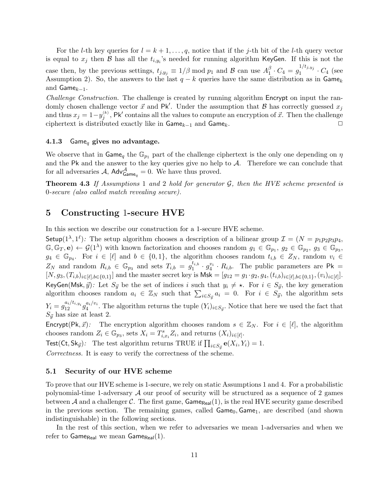For the *l*-th key queries for  $l = k + 1, \ldots, q$ , notice that if the *j*-th bit of the *l*-th query vector is equal to  $x_j$  then  $\mathcal B$  has all the  $t_{i,y_i}$ 's needed for running algorithm KeyGen. If this is not the case then, by the previous settings,  $t_{j,y_j} \equiv 1/\beta \mod p_1$  and  $\beta$  can use  $A_1^{\beta}$  $\frac{\beta}{1} \cdot C_4 = g_1^{1/t_{j,y_j}}$  $I_1^{1,9, y_j} \cdot C_4$  (see Assumption 2). So, the answers to the last  $q - k$  queries have the same distribution as in Game<sub>k</sub> and Game $_{k=1}$ .

Challenge Construction. The challenge is created by running algorithm Encrypt on input the randomly chosen challenge vector  $\vec{x}$  and Pk'. Under the assumption that  $\beta$  has correctly guessed  $x_j$ and thus  $x_j = 1-y_j^{(k)}$ , Pk' contains all the values to compute an encryption of  $\vec{x}$ . Then the challenge ciphertext is distributed exactly like in  $\mathsf{Game}_{k-1}$  and  $\mathsf{Game}_k$ .  $\Box$ 

#### <span id="page-10-0"></span>4.1.3 Game<sub>g</sub> gives no advantage.

We observe that in Game<sub>a</sub> the  $\mathbb{G}_{p_1}$  part of the challenge ciphertext is the only one depending on  $\eta$ and the Pk and the answer to the key queries give no help to  $A$ . Therefore we can conclude that for all adversaries A,  $\mathsf{Adv}_{\mathsf{Game}_q}^{\mathcal{A}} = 0$ . We have thus proved.

**Theorem 4.3** If Assumptions 1 and 2 hold for generator  $\mathcal{G}$ , then the HVE scheme presented is 0-secure (also called match revealing secure).

## <span id="page-10-1"></span>5 Constructing 1-secure HVE

In this section we describe our construction for a 1-secure HVE scheme.

Setup( $1^{\lambda}, 1^{\ell}$ ): The setup algorithm chooses a description of a bilinear group  $\mathcal{I} = (N = p_1p_2p_3p_4,$  $\mathbb{G}, \mathbb{G}_T, \mathbf{e}) \leftarrow \mathcal{G}(1^{\lambda})$  with known factorization and chooses random  $g_1 \in \mathbb{G}_{p_1}, g_2 \in \mathbb{G}_{p_2}, g_3 \in \mathbb{G}_{p_3}$ ,  $g_4 \in \mathbb{G}_{p_4}$ . For  $i \in [\ell]$  and  $b \in \{0,1\}$ , the algorithm chooses random  $t_{i,b} \in Z_N$ , random  $v_i \in$  $Z_N$  and random  $R_{i,b} \in \mathbb{G}_{p_3}$  and sets  $T_{i,b} = g_1^{t_{i,b}}$  $t_{i,b}^{t_{i,b}} \cdot g_4^{v_i} \cdot R_{i,b}$ . The public parameters are Pk =  $[N, g_3, (T_{i,b})_{i \in [\ell], b \in \{0,1\}}]$  and the master secret key is  $\mathsf{Msk} = [g_{12} = g_1 \cdot g_2, g_4, (t_{i,b})_{i \in [\ell], b \in \{0,1\}}, (v_i)_{i \in [\ell]}].$ KeyGen(Msk,  $\vec{y}$ ): Let  $S_{\vec{y}}$  be the set of indices i such that  $y_i \neq \star$ . For  $i \in S_{\vec{y}}$ , the key generation algorithm chooses random  $a_i \in \mathbb{Z}_N$  such that  $\sum_{i \in S_{\vec{y}}} a_i = 0$ . For  $i \in S_{\vec{y}}$ , the algorithm sets  $Y_i = g_{12}^{a_i/t_{i,y_i}} g_4^{a_i/v_i}$  $\mathcal{L}_4^{a_i/v_i}$ . The algorithm returns the tuple  $(Y_i)_{i \in S_{\vec{y}}}$ . Notice that here we used the fact that  $S_{\vec{v}}$  has size at least 2.

Encrypt(Pk,  $\vec{x}$ ): The encryption algorithm chooses random  $s \in \mathbb{Z}_N$ . For  $i \in [\ell]$ , the algorithm chooses random  $Z_i \in \mathbb{G}_{p_3}$ , sets  $X_i = T_{i,x_i}^s Z_i$ , and returns  $(X_i)_{i \in [\ell]}$ .

Test(Ct, Sk<sub>y</sub>): The test algorithm returns TRUE if  $\prod_{i \in S_{\vec{y}}} e(X_i, Y_i) = 1$ .

Correctness. It is easy to verify the correctness of the scheme.

#### <span id="page-10-2"></span>5.1 Security of our HVE scheme

To prove that our HVE scheme is 1-secure, we rely on static Assumptions 1 and 4. For a probabilistic polynomial-time 1-adversary  $\mathcal A$  our proof of security will be structured as a sequence of 2 games between A and a challenger C. The first game,  $\text{Game}_{\text{Real}}(1)$ , is the real HVE security game described in the previous section. The remaining games, called  $Game_0$ ,  $Game_1$ , are described (and shown indistinguishable) in the following sections.

In the rest of this section, when we refer to adversaries we mean 1-adversaries and when we refer to  $\mathsf{Game}_{\mathsf{Real}}$  we mean  $\mathsf{Game}_{\mathsf{Real}}(1)$ .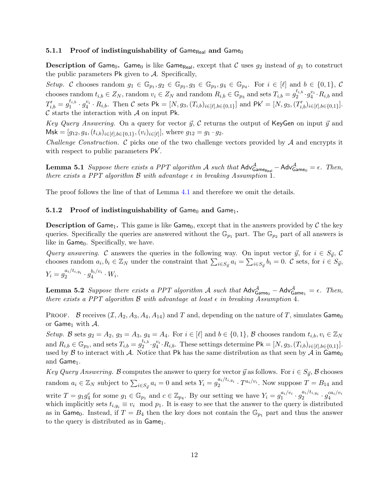#### <span id="page-11-0"></span>5.1.1 Proof of indistinguishability of Game<sub>Real</sub> and Game<sub>0</sub>

**Description of Game<sub>0</sub>.** Game<sub>0</sub> is like Game<sub>Real</sub>, except that C uses  $g_2$  instead of  $g_1$  to construct the public parameters  $\mathsf{Pk}$  given to  $\mathcal{A}$ . Specifically,

Setup. C chooses random  $g_1 \in \mathbb{G}_{p_1}, g_2 \in \mathbb{G}_{p_2}, g_3 \in \mathbb{G}_{p_3}, g_4 \in \mathbb{G}_{p_4}$ . For  $i \in [\ell]$  and  $b \in \{0,1\},$  C chooses random  $t_{i,b} \in Z_N$ , random  $v_i \in Z_N$  and random  $R_{i,b} \in \mathbb{G}_{p_3}$  and sets  $T_{i,b} = g_2^{t_{i,b}}$  $_2^{t_{i,b}}\cdot g_4^{v_i}\cdot R_{i,b}$  and  $T'_{i,b} = g_1^{t_{i,b}}$  $t_{i,b}^{t_{i,b}} \cdot g_4^{v_i} \cdot R_{i,b}$ . Then C sets Pk = [N, g<sub>3</sub>, (T<sub>i,b</sub>)<sub>i</sub> = [ $\ell$ ], $b \in \{0,1\}$ ] and Pk' = [N, g<sub>3</sub>, (T<sub>i,b</sub>)<sub>i</sub> = [ $\ell$ ], $b \in \{0,1\}$ ].  $\mathcal C$  starts the interaction with  $\mathcal A$  on input Pk.

Key Query Answering. On a query for vector  $\vec{y}$ , C returns the output of KeyGen on input  $\vec{y}$  and  $\mathsf{Msk} = [g_{12}, g_4, (t_{i,b})_{i \in [\ell], b \in \{0,1\}}, (v_i)_{i \in [\ell]}],$  where  $g_{12} = g_1 \cdot g_2$ .

*Challenge Construction.*  $\mathcal C$  picks one of the two challenge vectors provided by  $\mathcal A$  and encrypts it with respect to public parameters Pk'.

**Lemma 5.1** Suppose there exists a PPT algorithm A such that  $Adv_{GameRecal}^{\mathcal{A}} - Adv_{Game_0}^{\mathcal{A}} = \epsilon$ . Then, there exists a PPT algorithm  $\beta$  with advantage  $\epsilon$  in breaking Assumption 1.

The proof follows the line of that of Lemma [4.1](#page-7-3) and therefore we omit the details.

#### <span id="page-11-1"></span>5.1.2 Proof of indistinguishability of  $Game_0$  and  $Game_1$ .

**Description of Game**<sub>1</sub>. This game is like Game<sub>0</sub>, except that in the answers provided by C the key queries. Specifically the queries are answered without the  $\mathbb{G}_{p_1}$  part. The  $\mathbb{G}_{p_2}$  part of all answers is like in  $Game_0$ . Specifically, we have.

Query answering. C answers the queries in the following way. On input vector  $\vec{y}$ , for  $i \in S_{\vec{y}}$ , C chooses random  $a_i, b_i \in \mathbb{Z}_N$  under the constraint that  $\sum_{i \in S_{\vec{y}}} a_i = \sum_{i \in S_{\vec{y}}} b_i = 0$ . C sets, for  $i \in S_{\vec{y}}$ ,  $Y_i = g_2^{a_i/t_{i,y_i}} \cdot g_4^{b_i/v_i}$  $\frac{^{0i/v_i}}{4} \cdot W_i.$ 

**Lemma 5.2** Suppose there exists a PPT algorithm A such that  $Adv^{\mathcal{A}}_{Game_0} - Adv^{\mathcal{A}}_{Game_1} = \epsilon$ . Then, there exists a PPT algorithm  $\mathcal B$  with advantage at least  $\epsilon$  in breaking Assumption 4.

PROOF. B receives  $(\mathcal{I}, A_2, A_3, A_4, A_{14})$  and T and, depending on the nature of T, simulates Game<sub>0</sub> or Game<sub>1</sub> with  $A$ .

Setup. B sets  $g_2 = A_2$ ,  $g_3 = A_3$ ,  $g_4 = A_4$ . For  $i \in [\ell]$  and  $b \in \{0,1\}$ , B chooses random  $t_{i,b}$ ,  $v_i \in \mathbb{Z}_N$ and  $R_{i,b} \in \mathbb{G}_{p_3}$ , and sets  $T_{i,b} = g_2^{t_{i,b}}$  ${}_{2}^{t_{i,b}} \cdot g_4^{v_i} \cdot R_{i,b}$ . These settings determine  $\mathsf{Pk} = [N, g_3, (T_{i,b})_{i \in [\ell], b \in \{0,1\}}].$ used by  $\beta$  to interact with A. Notice that Pk has the same distribution as that seen by A in Game<sub>0</sub> and Game<sub>1</sub>.

Key Query Answering. B computes the answer to query for vector  $\vec{y}$  as follows. For  $i \in S_{\vec{y}}$ , B chooses random  $a_i \in \mathbb{Z}_N$  subject to  $\sum_{i \in S_{ij}} a_i = 0$  and sets  $Y_i = g_2^{a_i/t_{i,y_i}} \cdot T^{a_i/v_i}$ . Now suppose  $T = B_{14}$  and write  $T = g_1 g_4^c$  for some  $g_1 \in \mathbb{G}_{p_1}$  and  $c \in \mathbb{Z}_{p_4}$ . By our setting we have  $Y_i = g_1^{a_i/v_i}$  $a_i/v_i \cdot g_2^{a_i/t_{i,y_i}} \cdot g_4^{ca_i/v_i}$ 4 which implicitly sets  $t_{i,y_i} \equiv v_i \mod p_1$ . It is easy to see that the answer to the query is distributed as in Game<sub>0</sub>. Instead, if  $T = B_4$  then the key does not contain the  $\mathbb{G}_{p_1}$  part and thus the answer to the query is distributed as in  $Game_1$ .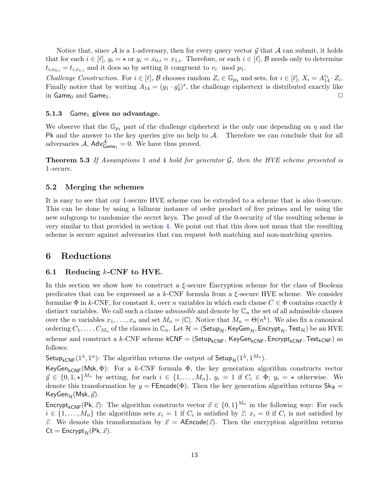Notice that, since  $\mathcal A$  is a 1-adversary, then for every query vector  $\vec y$  that  $\mathcal A$  can submit, it holds that for each  $i \in [\ell], y_i = \star$  or  $y_i = x_{0,i} = x_{1,i}$ . Therefore, or each  $i \in [\ell], \mathcal{B}$  needs only to determine  $t_{i,x_{0,i}} = t_{i,x_{1,i}}$  and it does so by setting it congruent to  $v_i \mod p_1$ .

Challenge Construction. For  $i \in [\ell], \mathcal{B}$  chooses random  $Z_i \in \mathbb{G}_{p_3}$  and sets, for  $i \in [\ell], X_i = A_{14}^{v_i} \cdot Z_i$ . Finally notice that by writing  $A_{14} = (g_1 \cdot g_4^c)^s$ , the challenge ciphertext is distributed exactly like in Game<sub>0</sub> and Game<sub>1</sub>.  $\Box$ 

#### <span id="page-12-0"></span>5.1.3 Game<sub>1</sub> gives no advantage.

We observe that the  $\mathbb{G}_{p_1}$  part of the challenge ciphertext is the only one depending on  $\eta$  and the Pk and the answer to the key queries give no help to  $A$ . Therefore we can conclude that for all adversaries  $A$ ,  $Adv_{Game_1}^A = 0$ . We have thus proved.

**Theorem 5.3** If Assumptions 1 and 4 hold for generator  $\mathcal{G}$ , then the HVE scheme presented is 1-secure.

#### <span id="page-12-1"></span>5.2 Merging the schemes

It is easy to see that our 1-secure HVE scheme can be extended to a scheme that is also 0-secure. This can be done by using a bilinear instance of order product of five primes and by using the new subgroup to randomize the secret keys. The proof of the 0-security of the resulting scheme is very similar to that provided in section [4.](#page-7-0) We point out that this does not mean that the resulting scheme is secure against adversaries that can request *both* matching and non-matching queries.

### <span id="page-12-2"></span>6 Reductions

#### <span id="page-12-3"></span>6.1 Reducing  $k$ -CNF to HVE.

In this section we show how to construct a  $\xi$ -secure Encryption scheme for the class of Boolean predicates that can be expressed as a  $k$ -CNF formula from a  $\xi$ -secure HVE scheme. We consider formulae  $\Phi$  in k-CNF, for constant k, over n variables in which each clause  $C \in \Phi$  contains exactly k distinct variables. We call such a clause *admissible* and denote by  $\mathbb{C}_n$  the set of all admissible clauses over the *n* variables  $x_1, \ldots, x_n$  and set  $M_n = |\mathbb{C}|$ . Notice that  $M_n = \Theta(n^k)$ . We also fix a canonical ordering  $C_1, \ldots, C_{M_n}$  of the clauses in  $\mathbb{C}_n$ . Let  $\mathcal{H} = \{ \mathsf{Setup}_{\mathcal{H}}, \mathsf{KeyGen}_{\mathcal{H}}, \mathsf{Encrypt}_{\mathcal{H}}, \mathsf{Test}_{\mathcal{H}} \}$  be an HVE scheme and construct a k-CNF scheme kCNF = (Setup<sub>kCNF</sub>, KeyGen<sub>kCNF</sub>, Encrypt<sub>kCNF</sub>, Test<sub>kCNF</sub>) as follows:

Setup<sub>kCNF</sub>(1<sup> $\lambda$ </sup>, 1<sup>n</sup>): The algorithm returns the output of Setup<sub>H</sub>(1<sup> $\lambda$ </sup>, 1<sup>M<sub>n</sub></sup>).

KeyGen<sub>kCNF</sub>(Msk,  $\Phi$ ): For a k-CNF formula  $\Phi$ , the key generation algorithm constructs vector  $\vec{y} \in \{0, 1, \star\}^{M_n}$  by setting, for each  $i \in \{1, ..., M_n\}$ ,  $y_i = 1$  if  $C_i \in \Phi$ ;  $y_i = \star$  otherwise. We denote this transformation by  $y = \mathsf{FEncode}(\Phi)$ . Then the key generation algorithm returns  $\mathsf{Sk}_{\Phi} =$ KeyGen $_{\mathcal{H}}$ (Msk,  $\vec{y}$ ).

Encrypt<sub>kCNF</sub>(Pk,  $\vec{z}$ ): The algorithm constructs vector  $\vec{x} \in \{0,1\}^{M_n}$  in the following way: For each  $i \in \{1, \ldots, M_n\}$  the algorithms sets  $x_i = 1$  if  $C_i$  is satisfied by  $\vec{z}$ ;  $x_i = 0$  if  $C_i$  is not satisfied by  $\vec{z}$ . We denote this transformation by  $\vec{x} = \mathsf{AEncode}(\vec{z})$ . Then the encryption algorithm returns  $Ct = \text{Encrypt}_{\mathcal{H}}(Pk, \vec{x}).$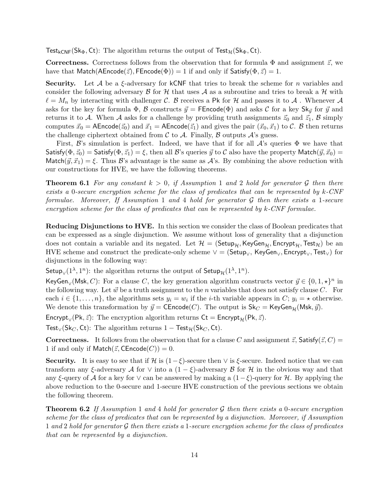Test<sub>kCNF</sub>(Sk<sub>Φ</sub>, Ct): The algorithm returns the output of Test<sub>H</sub>(Sk<sub>Φ</sub>, Ct).

**Correctness.** Correctness follows from the observation that for formula  $\Phi$  and assignment  $\vec{z}$ , we have that Match(AEncode( $\vec{z}$ ), FEncode( $\Phi$ )) = 1 if and only if Satisfy( $\Phi$ ,  $\vec{z}$ ) = 1.

**Security.** Let A be a  $\xi$ -adversary for kCNF that tries to break the scheme for n variables and consider the following adversary  $\beta$  for  $\mathcal{H}$  that uses  $\mathcal{A}$  as a subroutine and tries to break a  $\mathcal{H}$  with  $\ell = M_n$  by interacting with challenger C. B receives a Pk for H and passes it to A. Whenever A asks for the key for formula  $\Phi$ , B constructs  $\vec{y} = \text{FEncode}(\Phi)$  and asks C for a key Sk $_{\vec{y}}$  for  $\vec{y}$  and returns it to A. When A asks for a challenge by providing truth assignments  $\vec{z}_0$  and  $\vec{z}_1$ , B simply computes  $\vec{x}_0 = \mathsf{AEncode}(\vec{z}_0)$  and  $\vec{x}_1 = \mathsf{AEncode}(\vec{z}_1)$  and gives the pair  $(\vec{x}_0, \vec{x}_1)$  to C. B then returns the challenge ciphertext obtained from  $\mathcal C$  to  $\mathcal A$ . Finally,  $\mathcal B$  outputs  $\mathcal A$ 's guess.

First,  $\mathcal{B}$ 's simulation is perfect. Indeed, we have that if for all  $\mathcal{A}$ 's queries  $\Phi$  we have that Satisfy( $\Phi$ ,  $\vec{z}_0$ ) = Satisfy( $\Phi$ ,  $\vec{z}_1$ ) =  $\xi$ , then all  $\vec{B}$ 's queries  $\vec{y}$  to  $\vec{C}$  also have the property Match( $\vec{y}, \vec{x}_0$ ) = Match $(\vec{y}, \vec{x}_1) = \xi$ . Thus B's advantage is the same as A's. By combining the above reduction with our constructions for HVE, we have the following theorems.

<span id="page-13-0"></span>**Theorem 6.1** For any constant  $k > 0$ , if Assumption 1 and 2 hold for generator G then there exists a 0-secure encryption scheme for the class of predicates that can be represented by k-CNF formulae. Moreover, If Assumption 1 and 4 hold for generator  $\mathcal G$  then there exists a 1-secure encryption scheme for the class of predicates that can be represented by  $k$ -CNF formulae.

Reducing Disjunctions to HVE. In this section we consider the class of Boolean predicates that can be expressed as a single disjunction. We assume without loss of generality that a disjunction does not contain a variable and its negated. Let  $\mathcal{H} = \langle \mathsf{Setup}_{\mathcal{H}}, \mathsf{KeyGen}_{\mathcal{H}}, \mathsf{Encrypt}_{\mathcal{H}}, \mathsf{Test}_{\mathcal{H}} \rangle$  be an HVE scheme and construct the predicate-only scheme  $\vee$  = (Setup<sub> $\vee$ </sub>, KeyGen<sub> $\vee$ </sub>, Encrypt<sub> $\vee$ </sub>, Test<sub> $\vee$ </sub>) for disjunctions in the following way:

Setup<sub>V</sub>(1<sup> $\lambda$ </sup>, 1<sup>n</sup>): the algorithm returns the output of Setup<sub>H</sub>(1<sup> $\lambda$ </sup>, 1<sup>n</sup>).

KeyGen<sub>∨</sub>(Msk, C): For a clause C, the key generation algorithm constructs vector  $\vec{y} \in \{0, 1, \star\}^n$  in the following way. Let  $\vec{w}$  be a truth assignment to the n variables that does not satisfy clause C. For each  $i \in \{1, \ldots, n\}$ , the algorithms sets  $y_i = w_i$  if the *i*-th variable appears in C;  $y_i = \star$  otherwise. We denote this transformation by  $\vec{y}$  = CEncode(C). The output is  $\mathsf{Sk}_C = \mathsf{KeyGen}_{\mathcal{H}}(\mathsf{Msk}, \vec{y})$ .

Encrypt<sub>∨</sub>(Pk,  $\vec{z}$ ): The encryption algorithm returns Ct = Encrypt<sub>H</sub>(Pk,  $\vec{z}$ ).

Test<sub>∨</sub>(Sk<sub>C</sub>, Ct): The algorithm returns  $1 - \text{Test}_{\mathcal{H}}(Sk_C, Ct)$ .

**Correctness.** It follows from the observation that for a clause C and assignment  $\vec{z}$ , Satisfy( $\vec{z}$ , C) = 1 if and only if  $\mathsf{Match}(\vec{z}, \mathsf{CEncode}(C)) = 0.$ 

**Security.** It is easy to see that if H is  $(1 - \xi)$ -secure then  $\vee$  is  $\xi$ -secure. Indeed notice that we can transform any ξ-adversary A for  $\vee$  into a  $(1 - \xi)$ -adversary B for H in the obvious way and that any ξ-query of A for a key for  $\vee$  can be answered by making a  $(1-\xi)$ -query for H. By applying the above reduction to the 0-secure and 1-secure HVE construction of the previous sections we obtain the following theorem.

**Theorem 6.2** If Assumption 1 and 4 hold for generator G then there exists a 0-secure encryption scheme for the class of predicates that can be represented by a disjunction. Moreover, if Assumption 1 and 2 hold for generator  $\mathcal G$  then there exists a 1-secure encryption scheme for the class of predicates that can be represented by a disjunction.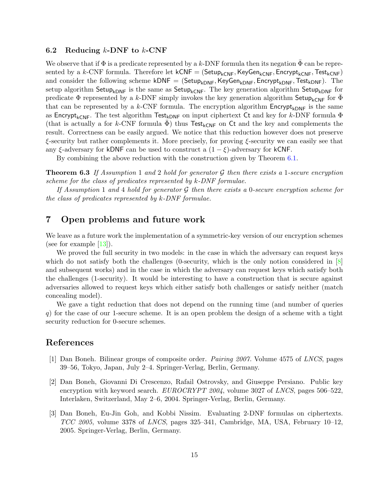#### <span id="page-14-0"></span>6.2 Reducing  $k$ -DNF to  $k$ -CNF

We observe that if  $\Phi$  is a predicate represented by a k-DNF formula then its negation  $\bar{\Phi}$  can be represented by a k-CNF formula. Therefore let  $kCNF = (Setup_{kCNF},KeyGen_{kCNF}, Encryptionity_{kCNF},Test_{kCNF})$ and consider the following scheme kDNF =  $(Setup_{kDNF},KeyGen_{kDNF},EnergyHom_F,Test_{kDNF})$ . The setup algorithm Setup<sub>kDNF</sub> is the same as Setup<sub>kCNF</sub>. The key generation algorithm Setup<sub>kDNF</sub> for predicate  $\Phi$  represented by a k-DNF simply invokes the key generation algorithm Setup<sub>kCNF</sub> for  $\Phi$ that can be represented by a k-CNF formula. The encryption algorithm  $\text{Encrypt}_{kDNF}$  is the same as Encrypt<sub>kCNF</sub>. The test algorithm Test<sub>kDNF</sub> on input ciphertext Ct and key for k-DNF formula  $\Phi$ (that is actually a for k-CNF formula  $\Phi$ ) thus Test<sub>kCNF</sub> on Ct and the key and complements the result. Correctness can be easily argued. We notice that this reduction however does not preserve  $\xi$ -security but rather complements it. More precisely, for proving  $\xi$ -security we can easily see that any  $\xi$ -adversary for kDNF can be used to construct a  $(1 - \xi)$ -adversary for kCNF.

By combining the above reduction with the construction given by Theorem [6.1.](#page-13-0)

**Theorem 6.3** If Assumption 1 and 2 hold for generator G then there exists a 1-secure encryption scheme for the class of predicates represented by k-DNF formulae.

If Assumption 1 and 4 hold for generator  $G$  then there exists a 0-secure encryption scheme for the class of predicates represented by k-DNF formulae.

## <span id="page-14-1"></span>7 Open problems and future work

We leave as a future work the implementation of a symmetric-key version of our encryption schemes (see for example [\[13\]](#page-15-8)).

We proved the full security in two models: in the case in which the adversary can request keys which do not satisfy both the challenges (0-security, which is the only notion considered in [\[8\]](#page-15-4) and subsequent works) and in the case in which the adversary can request keys which satisfy both the challenges (1-security). It would be interesting to have a construction that is secure against adversaries allowed to request keys which either satisfy both challenges or satisfy neither (match concealing model).

We gave a tight reduction that does not depend on the running time (and number of queries q) for the case of our 1-secure scheme. It is an open problem the design of a scheme with a tight security reduction for 0-secure schemes.

## References

- <span id="page-14-4"></span>[1] Dan Boneh. Bilinear groups of composite order. Pairing 2007. Volume 4575 of LNCS, pages 39–56, Tokyo, Japan, July 2–4. Springer-Verlag, Berlin, Germany.
- <span id="page-14-2"></span>[2] Dan Boneh, Giovanni Di Crescenzo, Rafail Ostrovsky, and Giuseppe Persiano. Public key encryption with keyword search. EUROCRYPT 2004, volume 3027 of LNCS, pages 506–522, Interlaken, Switzerland, May 2–6, 2004. Springer-Verlag, Berlin, Germany.
- <span id="page-14-3"></span>[3] Dan Boneh, Eu-Jin Goh, and Kobbi Nissim. Evaluating 2-DNF formulas on ciphertexts.  $TCC$  2005, volume 3378 of LNCS, pages 325–341, Cambridge, MA, USA, February 10–12, 2005. Springer-Verlag, Berlin, Germany.